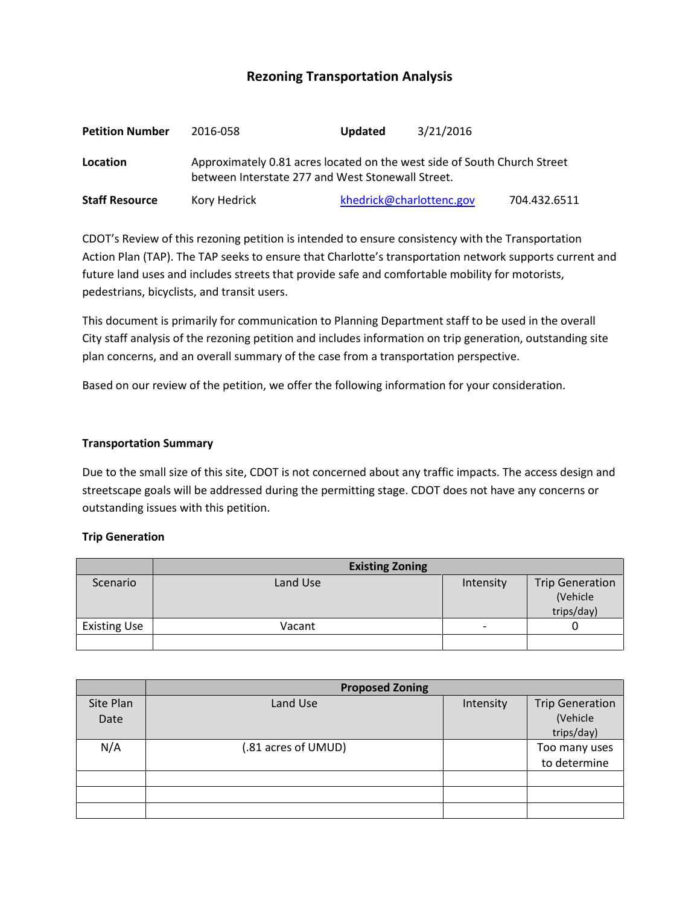# **Rezoning Transportation Analysis**

| <b>Petition Number</b> | 2016-058                                                                                                                      | <b>Updated</b> | 3/21/2016                |              |  |  |
|------------------------|-------------------------------------------------------------------------------------------------------------------------------|----------------|--------------------------|--------------|--|--|
| Location               | Approximately 0.81 acres located on the west side of South Church Street<br>between Interstate 277 and West Stonewall Street. |                |                          |              |  |  |
| <b>Staff Resource</b>  | Kory Hedrick                                                                                                                  |                | khedrick@charlottenc.gov | 704.432.6511 |  |  |

CDOT's Review of this rezoning petition is intended to ensure consistency with the Transportation Action Plan (TAP). The TAP seeks to ensure that Charlotte's transportation network supports current and future land uses and includes streets that provide safe and comfortable mobility for motorists, pedestrians, bicyclists, and transit users.

This document is primarily for communication to Planning Department staff to be used in the overall City staff analysis of the rezoning petition and includes information on trip generation, outstanding site plan concerns, and an overall summary of the case from a transportation perspective.

Based on our review of the petition, we offer the following information for your consideration.

#### **Transportation Summary**

Due to the small size of this site, CDOT is not concerned about any traffic impacts. The access design and streetscape goals will be addressed during the permitting stage. CDOT does not have any concerns or outstanding issues with this petition.

#### **Trip Generation**

|                     | <b>Existing Zoning</b> |           |                                                  |  |  |
|---------------------|------------------------|-----------|--------------------------------------------------|--|--|
| Scenario            | Land Use               | Intensity | <b>Trip Generation</b><br>(Vehicle<br>trips/day) |  |  |
| <b>Existing Use</b> | Vacant                 | -         |                                                  |  |  |
|                     |                        |           |                                                  |  |  |

|           | <b>Proposed Zoning</b> |           |                        |  |  |
|-----------|------------------------|-----------|------------------------|--|--|
| Site Plan | Land Use               | Intensity | <b>Trip Generation</b> |  |  |
| Date      |                        |           | (Vehicle               |  |  |
|           |                        |           | trips/day)             |  |  |
| N/A       | (.81 acres of UMUD)    |           | Too many uses          |  |  |
|           |                        |           | to determine           |  |  |
|           |                        |           |                        |  |  |
|           |                        |           |                        |  |  |
|           |                        |           |                        |  |  |